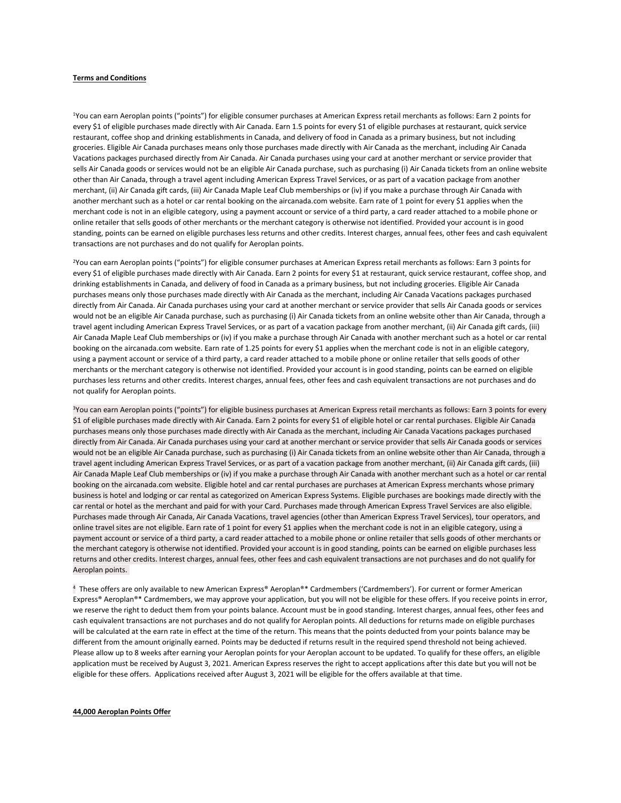# **Terms and Conditions**

<sup>1</sup>You can earn Aeroplan points ("points") for eligible consumer purchases at American Express retail merchants as follows: Earn 2 points for every \$1 of eligible purchases made directly with Air Canada. Earn 1.5 points for every \$1 of eligible purchases at restaurant, quick service restaurant, coffee shop and drinking establishments in Canada, and delivery of food in Canada as a primary business, but not including groceries. Eligible Air Canada purchases means only those purchases made directly with Air Canada as the merchant, including Air Canada Vacations packages purchased directly from Air Canada. Air Canada purchases using your card at another merchant or service provider that sells Air Canada goods or services would not be an eligible Air Canada purchase, such as purchasing (i) Air Canada tickets from an online website other than Air Canada, through a travel agent including American Express Travel Services, or as part of a vacation package from another merchant, (ii) Air Canada gift cards, (iii) Air Canada Maple Leaf Club memberships or (iv) if you make a purchase through Air Canada with another merchant such as a hotel or car rental booking on the aircanada.com website. Earn rate of 1 point for every \$1 applies when the merchant code is not in an eligible category, using a payment account or service of a third party, a card reader attached to a mobile phone or online retailer that sells goods of other merchants or the merchant category is otherwise not identified. Provided your account is in good standing, points can be earned on eligible purchases less returns and other credits. Interest charges, annual fees, other fees and cash equivalent transactions are not purchases and do not qualify for Aeroplan points.

<sup>2</sup>You can earn Aeroplan points ("points") for eligible consumer purchases at American Express retail merchants as follows: Earn 3 points for every \$1 of eligible purchases made directly with Air Canada. Earn 2 points for every \$1 at restaurant, quick service restaurant, coffee shop, and drinking establishments in Canada, and delivery of food in Canada as a primary business, but not including groceries. Eligible Air Canada purchases means only those purchases made directly with Air Canada as the merchant, including Air Canada Vacations packages purchased directly from Air Canada. Air Canada purchases using your card at another merchant or service provider that sells Air Canada goods or services would not be an eligible Air Canada purchase, such as purchasing (i) Air Canada tickets from an online website other than Air Canada, through a travel agent including American Express Travel Services, or as part of a vacation package from another merchant, (ii) Air Canada gift cards, (iii) Air Canada Maple Leaf Club memberships or (iv) if you make a purchase through Air Canada with another merchant such as a hotel or car rental booking on the aircanada.com website. Earn rate of 1.25 points for every \$1 applies when the merchant code is not in an eligible category, using a payment account or service of a third party, a card reader attached to a mobile phone or online retailer that sells goods of other merchants or the merchant category is otherwise not identified. Provided your account is in good standing, points can be earned on eligible purchases less returns and other credits. Interest charges, annual fees, other fees and cash equivalent transactions are not purchases and do not qualify for Aeroplan points.

<sup>3</sup>You can earn Aeroplan points ("points") for eligible business purchases at American Express retail merchants as follows: Earn 3 points for every \$1 of eligible purchases made directly with Air Canada. Earn 2 points for every \$1 of eligible hotel or car rental purchases. Eligible Air Canada purchases means only those purchases made directly with Air Canada as the merchant, including Air Canada Vacations packages purchased directly from Air Canada. Air Canada purchases using your card at another merchant or service provider that sells Air Canada goods or services would not be an eligible Air Canada purchase, such as purchasing (i) Air Canada tickets from an online website other than Air Canada, through a travel agent including American Express Travel Services, or as part of a vacation package from another merchant, (ii) Air Canada gift cards, (iii) Air Canada Maple Leaf Club memberships or (iv) if you make a purchase through Air Canada with another merchant such as a hotel or car rental booking on the aircanada.com website. Eligible hotel and car rental purchases are purchases at American Express merchants whose primary business is hotel and lodging or car rental as categorized on American Express Systems. Eligible purchases are bookings made directly with the car rental or hotel as the merchant and paid for with your Card. Purchases made through American Express Travel Services are also eligible. Purchases made through Air Canada, Air Canada Vacations, travel agencies (other than American Express Travel Services), tour operators, and online travel sites are not eligible. Earn rate of 1 point for every \$1 applies when the merchant code is not in an eligible category, using a payment account or service of a third party, a card reader attached to a mobile phone or online retailer that sells goods of other merchants or the merchant category is otherwise not identified. Provided your account is in good standing, points can be earned on eligible purchases less returns and other credits. Interest charges, annual fees, other fees and cash equivalent transactions are not purchases and do not qualify for Aeroplan points.

<sup>4</sup> These offers are only available to new American Express® Aeroplan®\* Cardmembers ('Cardmembers'). For current or former American Express® Aeroplan®\* Cardmembers, we may approve your application, but you will not be eligible for these offers. If you receive points in error, we reserve the right to deduct them from your points balance. Account must be in good standing. Interest charges, annual fees, other fees and cash equivalent transactions are not purchases and do not qualify for Aeroplan points. All deductions for returns made on eligible purchases will be calculated at the earn rate in effect at the time of the return. This means that the points deducted from your points balance may be different from the amount originally earned. Points may be deducted if returns result in the required spend threshold not being achieved. Please allow up to 8 weeks after earning your Aeroplan points for your Aeroplan account to be updated. To qualify for these offers, an eligible application must be received by August 3, 2021. American Express reserves the right to accept applications after this date but you will not be eligible for these offers. Applications received after August 3, 2021 will be eligible for the offers available at that time.

### **44,000 Aeroplan Points Offer**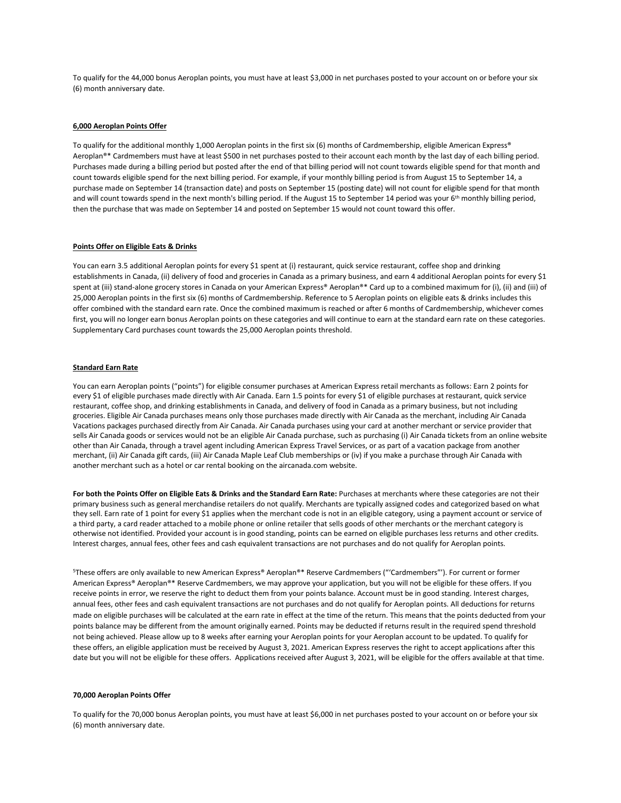To qualify for the 44,000 bonus Aeroplan points, you must have at least \$3,000 in net purchases posted to your account on or before your six (6) month anniversary date.

### **6,000 Aeroplan Points Offer**

To qualify for the additional monthly 1,000 Aeroplan points in the first six (6) months of Cardmembership, eligible American Express® Aeroplan®\* Cardmembers must have at least \$500 in net purchases posted to their account each month by the last day of each billing period. Purchases made during a billing period but posted after the end of that billing period will not count towards eligible spend for that month and count towards eligible spend for the next billing period. For example, if your monthly billing period is from August 15 to September 14, a purchase made on September 14 (transaction date) and posts on September 15 (posting date) will not count for eligible spend for that month and will count towards spend in the next month's billing period. If the August 15 to September 14 period was your 6<sup>th</sup> monthly billing period, then the purchase that was made on September 14 and posted on September 15 would not count toward this offer.

## **Points Offer on Eligible Eats & Drinks**

You can earn 3.5 additional Aeroplan points for every \$1 spent at (i) restaurant, quick service restaurant, coffee shop and drinking establishments in Canada, (ii) delivery of food and groceries in Canada as a primary business, and earn 4 additional Aeroplan points for every \$1 spent at (iii) stand-alone grocery stores in Canada on your American Express® Aeroplan®\* Card up to a combined maximum for (i), (ii) and (iii) of 25,000 Aeroplan points in the first six (6) months of Cardmembership. Reference to 5 Aeroplan points on eligible eats & drinks includes this offer combined with the standard earn rate. Once the combined maximum is reached or after 6 months of Cardmembership, whichever comes first, you will no longer earn bonus Aeroplan points on these categories and will continue to earn at the standard earn rate on these categories. Supplementary Card purchases count towards the 25,000 Aeroplan points threshold.

# **Standard Earn Rate**

You can earn Aeroplan points ("points") for eligible consumer purchases at American Express retail merchants as follows: Earn 2 points for every \$1 of eligible purchases made directly with Air Canada. Earn 1.5 points for every \$1 of eligible purchases at restaurant, quick service restaurant, coffee shop, and drinking establishments in Canada, and delivery of food in Canada as a primary business, but not including groceries. Eligible Air Canada purchases means only those purchases made directly with Air Canada as the merchant, including Air Canada Vacations packages purchased directly from Air Canada. Air Canada purchases using your card at another merchant or service provider that sells Air Canada goods or services would not be an eligible Air Canada purchase, such as purchasing (i) Air Canada tickets from an online website other than Air Canada, through a travel agent including American Express Travel Services, or as part of a vacation package from another merchant, (ii) Air Canada gift cards, (iii) Air Canada Maple Leaf Club memberships or (iv) if you make a purchase through Air Canada with another merchant such as a hotel or car rental booking on the aircanada.com website.

**For both the Points Offer on Eligible Eats & Drinks and the Standard Earn Rate:** Purchases at merchants where these categories are not their primary business such as general merchandise retailers do not qualify. Merchants are typically assigned codes and categorized based on what they sell. Earn rate of 1 point for every \$1 applies when the merchant code is not in an eligible category, using a payment account or service of a third party, a card reader attached to a mobile phone or online retailer that sells goods of other merchants or the merchant category is otherwise not identified. Provided your account is in good standing, points can be earned on eligible purchases less returns and other credits. Interest charges, annual fees, other fees and cash equivalent transactions are not purchases and do not qualify for Aeroplan points.

<sup>5</sup>These offers are only available to new American Express® Aeroplan®\* Reserve Cardmembers ("'Cardmembers"'). For current or former American Express® Aeroplan®\* Reserve Cardmembers, we may approve your application, but you will not be eligible for these offers. If you receive points in error, we reserve the right to deduct them from your points balance. Account must be in good standing. Interest charges, annual fees, other fees and cash equivalent transactions are not purchases and do not qualify for Aeroplan points. All deductions for returns made on eligible purchases will be calculated at the earn rate in effect at the time of the return. This means that the points deducted from your points balance may be different from the amount originally earned. Points may be deducted if returns result in the required spend threshold not being achieved. Please allow up to 8 weeks after earning your Aeroplan points for your Aeroplan account to be updated. To qualify for these offers, an eligible application must be received by August 3, 2021. American Express reserves the right to accept applications after this date but you will not be eligible for these offers. Applications received after August 3, 2021, will be eligible for the offers available at that time.

## **70,000 Aeroplan Points Offer**

To qualify for the 70,000 bonus Aeroplan points, you must have at least \$6,000 in net purchases posted to your account on or before your six (6) month anniversary date.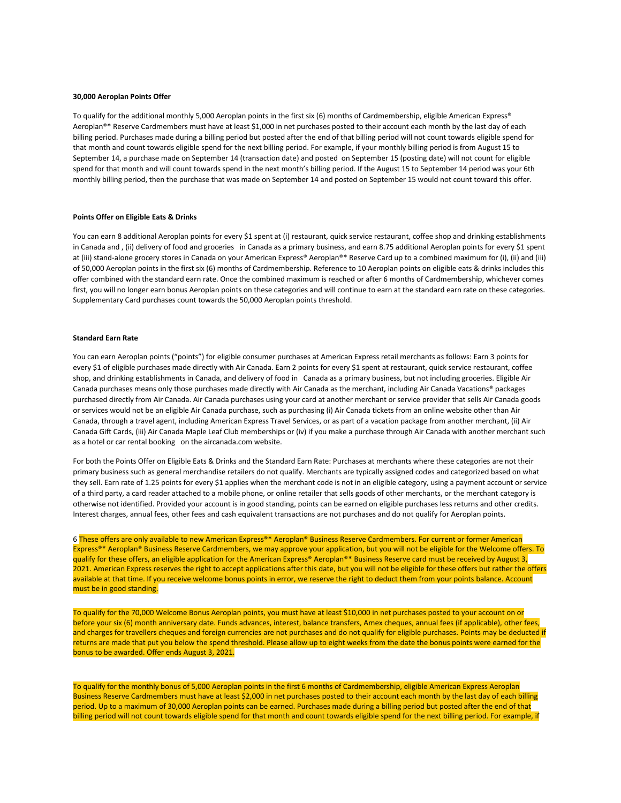#### **30,000 Aeroplan Points Offer**

To qualify for the additional monthly 5,000 Aeroplan points in the first six (6) months of Cardmembership, eligible American Express® Aeroplan®\* Reserve Cardmembers must have at least \$1,000 in net purchases posted to their account each month by the last day of each billing period. Purchases made during a billing period but posted after the end of that billing period will not count towards eligible spend for that month and count towards eligible spend for the next billing period. For example, if your monthly billing period is from August 15 to September 14, a purchase made on September 14 (transaction date) and posted on September 15 (posting date) will not count for eligible spend for that month and will count towards spend in the next month's billing period. If the August 15 to September 14 period was your 6th monthly billing period, then the purchase that was made on September 14 and posted on September 15 would not count toward this offer.

## **Points Offer on Eligible Eats & Drinks**

You can earn 8 additional Aeroplan points for every \$1 spent at (i) restaurant, quick service restaurant, coffee shop and drinking establishments in Canada and , (ii) delivery of food and groceries in Canada as a primary business, and earn 8.75 additional Aeroplan points for every \$1 spent at (iii) stand-alone grocery stores in Canada on your American Express® Aeroplan®\* Reserve Card up to a combined maximum for (i), (ii) and (iii) of 50,000 Aeroplan points in the first six (6) months of Cardmembership. Reference to 10 Aeroplan points on eligible eats & drinks includes this offer combined with the standard earn rate. Once the combined maximum is reached or after 6 months of Cardmembership, whichever comes first, you will no longer earn bonus Aeroplan points on these categories and will continue to earn at the standard earn rate on these categories. Supplementary Card purchases count towards the 50,000 Aeroplan points threshold.

## **Standard Earn Rate**

You can earn Aeroplan points ("points") for eligible consumer purchases at American Express retail merchants as follows: Earn 3 points for every \$1 of eligible purchases made directly with Air Canada. Earn 2 points for every \$1 spent at restaurant, quick service restaurant, coffee shop, and drinking establishments in Canada, and delivery of food in Canada as a primary business, but not including groceries. Eligible Air Canada purchases means only those purchases made directly with Air Canada as the merchant, including Air Canada Vacations® packages purchased directly from Air Canada. Air Canada purchases using your card at another merchant or service provider that sells Air Canada goods or services would not be an eligible Air Canada purchase, such as purchasing (i) Air Canada tickets from an online website other than Air Canada, through a travel agent, including American Express Travel Services, or as part of a vacation package from another merchant, (ii) Air Canada Gift Cards, (iii) Air Canada Maple Leaf Club memberships or (iv) if you make a purchase through Air Canada with another merchant such as a hotel or car rental booking on the aircanada.com website.

For both the Points Offer on Eligible Eats & Drinks and the Standard Earn Rate: Purchases at merchants where these categories are not their primary business such as general merchandise retailers do not qualify. Merchants are typically assigned codes and categorized based on what they sell. Earn rate of 1.25 points for every \$1 applies when the merchant code is not in an eligible category, using a payment account or service of a third party, a card reader attached to a mobile phone, or online retailer that sells goods of other merchants, or the merchant category is otherwise not identified. Provided your account is in good standing, points can be earned on eligible purchases less returns and other credits. Interest charges, annual fees, other fees and cash equivalent transactions are not purchases and do not qualify for Aeroplan points.

6 These offers are only available to new American Express®\* Aeroplan® Business Reserve Cardmembers. For current or former American Express®\* Aeroplan® Business Reserve Cardmembers, we may approve your application, but you will not be eligible for the Welcome offers. To qualify for these offers, an eligible application for the American Express® Aeroplan®\* Business Reserve card must be received by August 3, 2021. American Express reserves the right to accept applications after this date, but you will not be eligible for these offers but rather the offers available at that time. If you receive welcome bonus points in error, we reserve the right to deduct them from your points balance. Account must be in good standing.

To qualify for the 70,000 Welcome Bonus Aeroplan points, you must have at least \$10,000 in net purchases posted to your account on or before your six (6) month anniversary date. Funds advances, interest, balance transfers, Amex cheques, annual fees (if applicable), other fees, and charges for travellers cheques and foreign currencies are not purchases and do not qualify for eligible purchases. Points may be deducted if returns are made that put you below the spend threshold. Please allow up to eight weeks from the date the bonus points were earned for the bonus to be awarded. Offer ends August 3, 2021.

To qualify for the monthly bonus of 5,000 Aeroplan points in the first 6 months of Cardmembership, eligible American Express Aeroplan Business Reserve Cardmembers must have at least \$2,000 in net purchases posted to their account each month by the last day of each billing period. Up to a maximum of 30,000 Aeroplan points can be earned. Purchases made during a billing period but posted after the end of that billing period will not count towards eligible spend for that month and count towards eligible spend for the next billing period. For example, if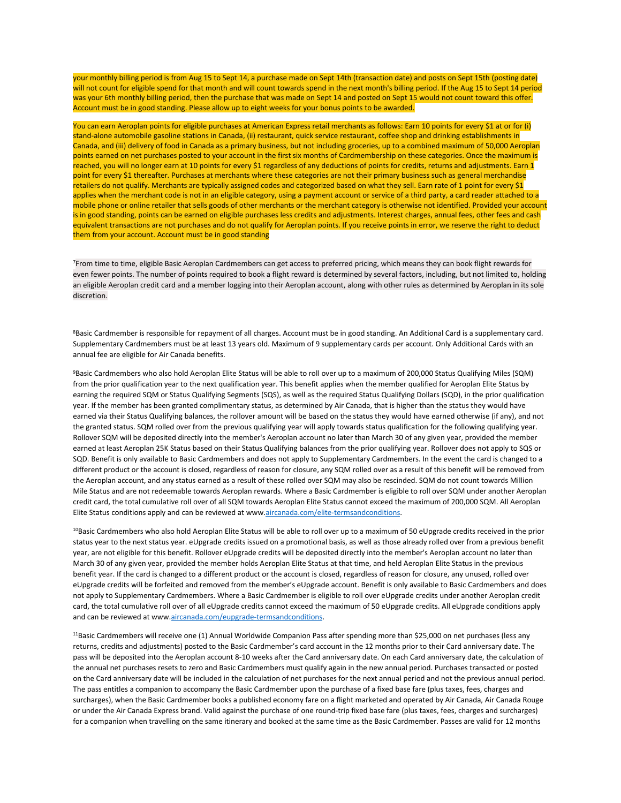your monthly billing period is from Aug 15 to Sept 14, a purchase made on Sept 14th (transaction date) and posts on Sept 15th (posting date) will not count for eligible spend for that month and will count towards spend in the next month's billing period. If the Aug 15 to Sept 14 period was your 6th monthly billing period, then the purchase that was made on Sept 14 and posted on Sept 15 would not count toward this offer. Account must be in good standing. Please allow up to eight weeks for your bonus points to be awarded.

You can earn Aeroplan points for eligible purchases at American Express retail merchants as follows: Earn 10 points for every \$1 at or for (i) stand-alone automobile gasoline stations in Canada, (ii) restaurant, quick service restaurant, coffee shop and drinking establishments in Canada, and (iii) delivery of food in Canada as a primary business, but not including groceries, up to a combined maximum of 50,000 Aeroplan points earned on net purchases posted to your account in the first six months of Cardmembership on these categories. Once the maximum is reached, you will no longer earn at 10 points for every \$1 regardless of any deductions of points for credits, returns and adjustments. Earn 1 point for every \$1 thereafter. Purchases at merchants where these categories are not their primary business such as general merchandise retailers do not qualify. Merchants are typically assigned codes and categorized based on what they sell. Earn rate of 1 point for every \$1 applies when the merchant code is not in an eligible category, using a payment account or service of a third party, a card reader attached to a mobile phone or online retailer that sells goods of other merchants or the merchant category is otherwise not identified. Provided your account is in good standing, points can be earned on eligible purchases less credits and adjustments. Interest charges, annual fees, other fees and cash equivalent transactions are not purchases and do not qualify for Aeroplan points. If you receive points in error, we reserve the right to deduct them from your account. Account must be in good standing

<sup>7</sup>From time to time, eligible Basic Aeroplan Cardmembers can get access to preferred pricing, which means they can book flight rewards for even fewer points. The number of points required to book a flight reward is determined by several factors, including, but not limited to, holding an eligible Aeroplan credit card and a member logging into their Aeroplan account, along with other rules as determined by Aeroplan in its sole discretion.

<sup>8</sup>Basic Cardmember is responsible for repayment of all charges. Account must be in good standing. An Additional Card is a supplementary card. Supplementary Cardmembers must be at least 13 years old. Maximum of 9 supplementary cards per account. Only Additional Cards with an annual fee are eligible for Air Canada benefits.

<sup>9</sup>Basic Cardmembers who also hold Aeroplan Elite Status will be able to roll over up to a maximum of 200,000 Status Qualifying Miles (SQM) from the prior qualification year to the next qualification year. This benefit applies when the member qualified for Aeroplan Elite Status by earning the required SQM or Status Qualifying Segments (SQS), as well as the required Status Qualifying Dollars (SQD), in the prior qualification year. If the member has been granted complimentary status, as determined by Air Canada, that is higher than the status they would have earned via their Status Qualifying balances, the rollover amount will be based on the status they would have earned otherwise (if any), and not the granted status. SQM rolled over from the previous qualifying year will apply towards status qualification for the following qualifying year. Rollover SQM will be deposited directly into the member's Aeroplan account no later than March 30 of any given year, provided the member earned at least Aeroplan 25K Status based on their Status Qualifying balances from the prior qualifying year. Rollover does not apply to SQS or SQD. Benefit is only available to Basic Cardmembers and does not apply to Supplementary Cardmembers. In the event the card is changed to a different product or the account is closed, regardless of reason for closure, any SQM rolled over as a result of this benefit will be removed from the Aeroplan account, and any status earned as a result of these rolled over SQM may also be rescinded. SQM do not count towards Million Mile Status and are not redeemable towards Aeroplan rewards. Where a Basic Cardmember is eligible to roll over SQM under another Aeroplan credit card, the total cumulative roll over of all SQM towards Aeroplan Elite Status cannot exceed the maximum of 200,000 SQM. All Aeroplan Elite Status conditions apply and can be reviewed at ww[w.aircanada.com/elite-termsandconditions.](http://www.aircanada.com/elite-termsandconditions)

<sup>10</sup>Basic Cardmembers who also hold Aeroplan Elite Status will be able to roll over up to a maximum of 50 eUpgrade credits received in the prior status year to the next status year. eUpgrade credits issued on a promotional basis, as well as those already rolled over from a previous benefit year, are not eligible for this benefit. Rollover eUpgrade credits will be deposited directly into the member's Aeroplan account no later than March 30 of any given year, provided the member holds Aeroplan Elite Status at that time, and held Aeroplan Elite Status in the previous benefit year. If the card is changed to a different product or the account is closed, regardless of reason for closure, any unused, rolled over eUpgrade credits will be forfeited and removed from the member's eUpgrade account. Benefit is only available to Basic Cardmembers and does not apply to Supplementary Cardmembers. Where a Basic Cardmember is eligible to roll over eUpgrade credits under another Aeroplan credit card, the total cumulative roll over of all eUpgrade credits cannot exceed the maximum of 50 eUpgrade credits. All eUpgrade conditions apply and can be reviewed at ww[w.aircanada.com/eupgrade-termsandconditions.](http://www.aircanada.com/eupgrade-termsandconditions)

11Basic Cardmembers will receive one (1) Annual Worldwide Companion Pass after spending more than \$25,000 on net purchases (less any returns, credits and adjustments) posted to the Basic Cardmember's card account in the 12 months prior to their Card anniversary date. The pass will be deposited into the Aeroplan account 8-10 weeks after the Card anniversary date. On each Card anniversary date, the calculation of the annual net purchases resets to zero and Basic Cardmembers must qualify again in the new annual period. Purchases transacted or posted on the Card anniversary date will be included in the calculation of net purchases for the next annual period and not the previous annual period. The pass entitles a companion to accompany the Basic Cardmember upon the purchase of a fixed base fare (plus taxes, fees, charges and surcharges), when the Basic Cardmember books a published economy fare on a flight marketed and operated by Air Canada, Air Canada Rouge or under the Air Canada Express brand. Valid against the purchase of one round-trip fixed base fare (plus taxes, fees, charges and surcharges) for a companion when travelling on the same itinerary and booked at the same time as the Basic Cardmember. Passes are valid for 12 months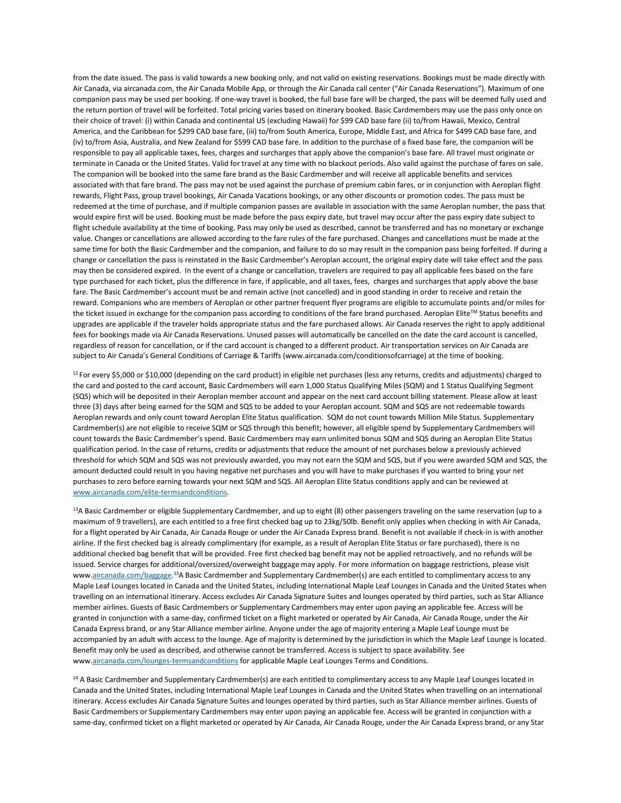from the date issued. The pass is valid towards a new booking only, and not valid on existing reservations. Bookings must be made directly with Air Canada, via aircanada.com, the Air Canada Mobile App, or through the Air Canada call center ("Air Canada Reservations"). Maximum of one companion pass may be used per booking. If one-way travel is booked, the full base fare will be charged, the pass will be deemed fully used and the return portion of travel will be forfeited. Total pricing varies based on itinerary booked. Basic Cardmembers may use the pass only once on their choice of travel: (i) within Canada and continental US (excluding Hawaii) for \$99 CAD base fare (ii) to/from Hawaii, Mexico, Central America, and the Caribbean for \$299 CAD base fare, (iii) to/from South America, Europe, Middle East, and Africa for \$499 CAD base fare, and (iv) to/from Asia, Australia, and New Zealand for \$599 CAD base fare. In addition to the purchase of a fixed base fare, the companion will be responsible to pay all applicable taxes, fees, charges and surcharges that apply above the companion's base fare. All travel must originate or terminate in Canada or the United States. Valid for travel at any time with no blackout periods. Also valid against the purchase of fares on sale. The companion will be booked into the same fare brand as the Basic Cardmember and will receive all applicable benefits and services associated with that fare brand. The pass may not be used against the purchase of premium cabin fares, or in conjunction with Aeroplan flight rewards, Flight Pass, group travel bookings, Air Canada Vacations bookings, or any other discounts or promotion codes. The pass must be redeemed at the time of purchase, and if multiple companion passes are available in association with the same Aeroplan number, the pass that would expire first will be used. Booking must be made before the pass expiry date, but travel may occur after the pass expiry date subject to flight schedule availability at the time of booking. Pass may only be used as described, cannot be transferred and has no monetary or exchange value. Changes or cancellations are allowed according to the fare rules of the fare purchased. Changes and cancellations must be made at the same time for both the Basic Cardmember and the companion, and failure to do so may result in the companion pass being forfeited. If during a change or cancellation the pass is reinstated in the Basic Cardmember's Aeroplan account, the original expiry date will take effect and the pass may then be considered expired. In the event of a change or cancellation, travelers are required to pay all applicable fees based on the fare type purchased for each ticket, plus the difference in fare, if applicable, and all taxes, fees, charges and surcharges that apply above the base fare. The Basic Cardmember's account must be and remain active (not cancelled) and in good standing in order to receive and retain the reward. Companions who are members of Aeroplan or other partner frequent flyer programs are eligible to accumulate points and/or miles for the ticket issued in exchange for the companion pass according to conditions of the fare brand purchased. Aeroplan Elite™ Status benefits and upgrades are applicable if the traveler holds appropriate status and the fare purchased allows. Air Canada reserves the right to apply additional fees for bookings made via Air Canada Reservations. Unused passes will automatically be cancelled on the date the card account is cancelled, regardless of reason for cancellation, or if the card account is changed to a different product. Air transportation services on Air Canada are subject to Air Canada's General Conditions of Carriage & Tariffs (www.aircanada.com/conditionsofcarriage) at the time of booking.

 $12$  For every \$5,000 or \$10,000 (depending on the card product) in eligible net purchases (less any returns, credits and adjustments) charged to the card and posted to the card account, Basic Cardmembers will earn 1,000 Status Qualifying Miles (SQM) and 1 Status Qualifying Segment (SQS) which will be deposited in their Aeroplan member account and appear on the next card account billing statement. Please allow at least three (3) days after being earned for the SQM and SQS to be added to your Aeroplan account. SQM and SQS are not redeemable towards Aeroplan rewards and only count toward Aeroplan Elite Status qualification. SQM do not count towards Million Mile Status. Supplementary Cardmember(s) are not eligible to receive SQM or SQS through this benefit; however, all eligible spend by Supplementary Cardmembers will count towards the Basic Cardmember's spend. Basic Cardmembers may earn unlimited bonus SQM and SQS during an Aeroplan Elite Status qualification period. In the case of returns, credits or adjustments that reduce the amount of net purchases below a previously achieved threshold for which SQM and SQS was not previously awarded, you may not earn the SQM and SQS, but if you were awarded SQM and SQS, the amount deducted could result in you having negative net purchases and you will have to make purchases if you wanted to bring your net purchases to zero before earning towards your next SQM and SQS. All Aeroplan Elite Status conditions apply and can be reviewed at [www.aircanada.com/elite-termsandconditions.](http://www.aircanada.com/elite-termsandconditions)

<sup>13</sup>A Basic Cardmember or eligible Supplementary Cardmember, and up to eight (8) other passengers traveling on the same reservation (up to a maximum of 9 travellers), are each entitled to a free first checked bag up to 23kg/50lb. Benefit only applies when checking in with Air Canada, for a flight operated by Air Canada, Air Canada Rouge or under the Air Canada Express brand. Benefit is not available if check-in is with another airline. If the first checked bag is already complimentary (for example, as a result of Aeroplan Elite Status or fare purchased), there is no additional checked bag benefit that will be provided. Free first checked bag benefit may not be applied retroactively, and no refunds will be issued. Service charges for additional/oversized/overweight baggage may apply. For more information on baggage restrictions, please visit ww[w.aircanada.com/baggage.](http://www.aircanada.com/baggage)<sup>13</sup>A Basic Cardmember and Supplementary Cardmember(s) are each entitled to complimentary access to any Maple Leaf Lounges located in Canada and the United States, including International Maple Leaf Lounges in Canada and the United States when travelling on an international itinerary. Access excludes Air Canada Signature Suites and lounges operated by third parties, such as Star Alliance member airlines. Guests of Basic Cardmembers or Supplementary Cardmembers may enter upon paying an applicable fee. Access will be granted in conjunction with a same-day, confirmed ticket on a flight marketed or operated by Air Canada, Air Canada Rouge, under the Air Canada Express brand, or any Star Alliance member airline. Anyone under the age of majority entering a Maple Leaf Lounge must be accompanied by an adult with access to the lounge. Age of majority is determined by the jurisdiction in which the Maple Leaf Lounge is located. Benefit may only be used as described, and otherwise cannot be transferred. Access is subject to space availability. See ww[w.aircanada.com/lounges-termsandconditions](http://www.aircanada.com/lounges-termsandconditions) for applicable Maple Leaf Lounges Terms and Conditions.

<sup>14</sup> A Basic Cardmember and Supplementary Cardmember(s) are each entitled to complimentary access to any Maple Leaf Lounges located in Canada and the United States, including International Maple Leaf Lounges in Canada and the United States when travelling on an international itinerary. Access excludes Air Canada Signature Suites and lounges operated by third parties, such as Star Alliance member airlines. Guests of Basic Cardmembers or Supplementary Cardmembers may enter upon paying an applicable fee. Access will be granted in conjunction with a same-day, confirmed ticket on a flight marketed or operated by Air Canada, Air Canada Rouge, under the Air Canada Express brand, or any Star